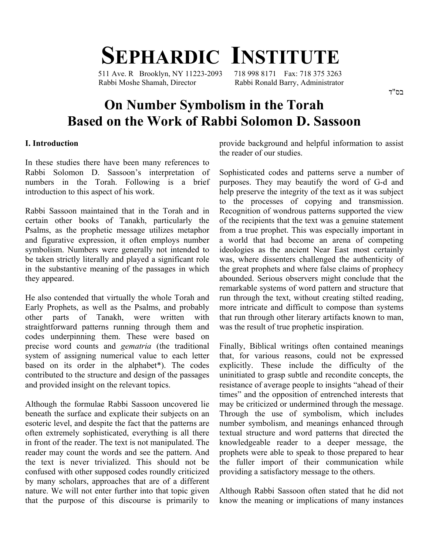# **SEPHARDIC INSTITUTE**

Rabbi Moshe Shamah, Director Rabbi Ronald Barry, Administrator

511 Ave. R Brooklyn, NY 11223-2093 718 998 8171 Fax: 718 375 3263

### בס"ד

## **On Number Symbolism in the Torah Based on the Work of Rabbi Solomon D. Sassoon**

#### **I. Introduction**

In these studies there have been many references to Rabbi Solomon D. Sassoon's interpretation of numbers in the Torah. Following is a brief introduction to this aspect of his work.

Rabbi Sassoon maintained that in the Torah and in certain other books of Tanakh, particularly the Psalms, as the prophetic message utilizes metaphor and figurative expression, it often employs number symbolism. Numbers were generally not intended to be taken strictly literally and played a significant role in the substantive meaning of the passages in which they appeared.

He also contended that virtually the whole Torah and Early Prophets, as well as the Psalms, and probably other parts of Tanakh, were written with straightforward patterns running through them and codes underpinning them. These were based on precise word counts and *gematria* (the traditional system of assigning numerical value to each letter based on its order in the alphabet\*). The codes contributed to the structure and design of the passages and provided insight on the relevant topics.

Although the formulae Rabbi Sassoon uncovered lie beneath the surface and explicate their subjects on an esoteric level, and despite the fact that the patterns are often extremely sophisticated, everything is all there in front of the reader. The text is not manipulated. The reader may count the words and see the pattern. And the text is never trivialized. This should not be confused with other supposed codes roundly criticized by many scholars, approaches that are of a different nature. We will not enter further into that topic given that the purpose of this discourse is primarily to provide background and helpful information to assist the reader of our studies.

Sophisticated codes and patterns serve a number of purposes. They may beautify the word of G-d and help preserve the integrity of the text as it was subject to the processes of copying and transmission. Recognition of wondrous patterns supported the view of the recipients that the text was a genuine statement from a true prophet. This was especially important in a world that had become an arena of competing ideologies as the ancient Near East most certainly was, where dissenters challenged the authenticity of the great prophets and where false claims of prophecy abounded. Serious observers might conclude that the remarkable systems of word pattern and structure that run through the text, without creating stilted reading, more intricate and difficult to compose than systems that run through other literary artifacts known to man, was the result of true prophetic inspiration.

Finally, Biblical writings often contained meanings that, for various reasons, could not be expressed explicitly. These include the difficulty of the uninitiated to grasp subtle and recondite concepts, the resistance of average people to insights "ahead of their times" and the opposition of entrenched interests that may be criticized or undermined through the message. Through the use of symbolism, which includes number symbolism, and meanings enhanced through textual structure and word patterns that directed the knowledgeable reader to a deeper message, the prophets were able to speak to those prepared to hear the fuller import of their communication while providing a satisfactory message to the others.

Although Rabbi Sassoon often stated that he did not know the meaning or implications of many instances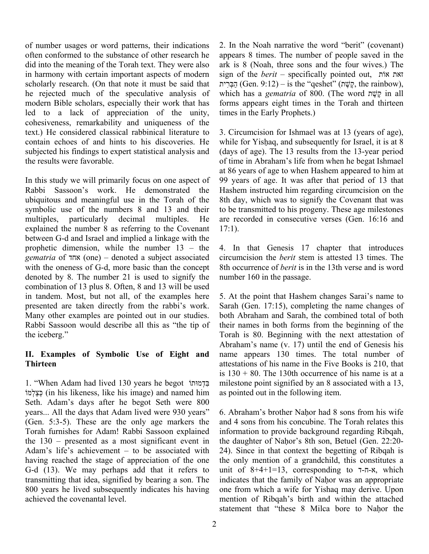of number usages or word patterns, their indications often conformed to the substance of other research he did into the meaning of the Torah text. They were also in harmony with certain important aspects of modern scholarly research. (On that note it must be said that he rejected much of the speculative analysis of modern Bible scholars, especially their work that has led to a lack of appreciation of the unity, cohesiveness, remarkability and uniqueness of the text.) He considered classical rabbinical literature to contain echoes of and hints to his discoveries. He subjected his findings to expert statistical analysis and the results were favorable.

In this study we will primarily focus on one aspect of Rabbi Sassoon's work. He demonstrated the ubiquitous and meaningful use in the Torah of the symbolic use of the numbers 8 and 13 and their multiples, particularly decimal multiples. He explained the number 8 as referring to the Covenant between G-d and Israel and implied a linkage with the prophetic dimension, while the number 13 – the *gematria* of אחד) one) – denoted a subject associated with the oneness of G-d, more basic than the concept denoted by 8. The number 21 is used to signify the combination of 13 plus 8. Often, 8 and 13 will be used in tandem. Most, but not all, of the examples here presented are taken directly from the rabbi's work. Many other examples are pointed out in our studies. Rabbi Sassoon would describe all this as "the tip of the iceberg."

#### **II. Examples of Symbolic Use of Eight and Thirteen**

1. "When Adam had lived 130 years he begot דמוּתוְֹבִּ למוְֹצַכְּ) in his likeness, like his image) and named him Seth. Adam's days after he begot Seth were 800 years... All the days that Adam lived were 930 years" (Gen. 5:3-5). These are the only age markers the Torah furnishes for Adam! Rabbi Sassoon explained the 130 – presented as a most significant event in Adam's life's achievement – to be associated with having reached the stage of appreciation of the one G-d (13). We may perhaps add that it refers to transmitting that idea, signified by bearing a son. The 800 years he lived subsequently indicates his having achieved the covenantal level.

2. In the Noah narrative the word "berit" (covenant) appears 8 times. The number of people saved in the ark is 8 (Noah, three sons and the four wives.) The sign of the *berit* – specifically pointed out, אוֹת זאת הַבְּרִית (Gen. 9:12) – is the "qeshet" (קָשֶׁת, the rainbow), which has a *gematria* of 800. (The word שׁתֶ קֶ in all forms appears eight times in the Torah and thirteen times in the Early Prophets.)

3. Circumcision for Ishmael was at 13 (years of age), while for Yishaq, and subsequently for Israel, it is at 8 (days of age). The 13 results from the 13-year period of time in Abraham's life from when he begat Ishmael at 86 years of age to when Hashem appeared to him at 99 years of age. It was after that period of 13 that Hashem instructed him regarding circumcision on the 8th day, which was to signify the Covenant that was to be transmitted to his progeny. These age milestones are recorded in consecutive verses (Gen. 16:16 and  $17:1$ ).

4. In that Genesis 17 chapter that introduces circumcision the *berit* stem is attested 13 times. The 8th occurrence of *berit* is in the 13th verse and is word number 160 in the passage.

5. At the point that Hashem changes Sarai's name to Sarah (Gen. 17:15), completing the name changes of both Abraham and Sarah, the combined total of both their names in both forms from the beginning of the Torah is 80. Beginning with the next attestation of Abraham's name (v. 17) until the end of Genesis his name appears 130 times. The total number of attestations of his name in the Five Books is 210, that is  $130 + 80$ . The 130th occurrence of his name is at a milestone point signified by an 8 associated with a 13, as pointed out in the following item.

6. Abraham's brother Nahor had 8 sons from his wife and 4 sons from his concubine. The Torah relates this information to provide background regarding Ribqah, the daughter of Nahor's 8th son, Betuel (Gen. 22:20- 24). Since in that context the begetting of Ribqah is the only mention of a grandchild, this constitutes a unit of  $8+4+1=13$ , corresponding to  $7-\pi-x$ , which indicates that the family of Nahor was an appropriate one from which a wife for Yishaq may derive. Upon mention of Ribqah's birth and within the attached statement that "these 8 Milca bore to Nahor the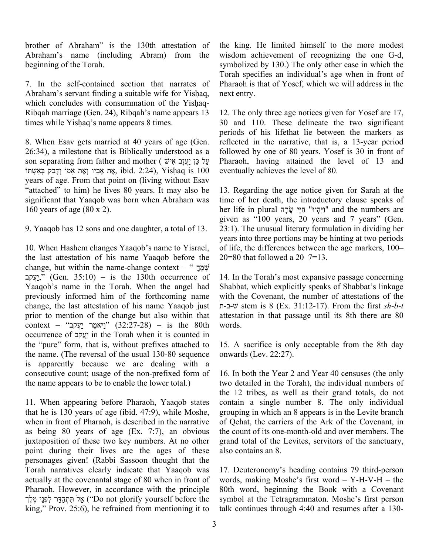brother of Abraham" is the 130th attestation of Abraham's name (including Abram) from the beginning of the Torah.

7. In the self-contained section that narrates of Abraham's servant finding a suitable wife for Yishaq, which concludes with consummation of the Yishaq-Ribqah marriage (Gen. 24), Ribqah's name appears 13 times while Yishaq's name appears 8 times.

8. When Esav gets married at 40 years of age (Gen. 26:34), a milestone that is Biblically understood as a son separating from father and mother ( עֲעָזָב אִישׁ וְדָבַק בְּאֵשֶׁתּוֹ (2:24 .jbid .2:24 .yishaq is  $100$ years of age. From that point on (living without Esav "attached" to him) he lives 80 years. It may also be significant that Yaaqob was born when Abraham was 160 years of age (80 x 2).

9. Yaaqob has 12 sons and one daughter, a total of 13.

10. When Hashem changes Yaaqob's name to Yisrael, the last attestation of his name Yaaqob before the change, but within the name-change context – " ךָמְשִׁ יָעֲקָב<sup>ּ</sup>,) (Gen. 35:10) – is the 130th occurrence of Yaaqob's name in the Torah. When the angel had previously informed him of the forthcoming name change, the last attestation of his name Yaaqob just prior to mention of the change but also within that  $\text{context}$  – 'וַיּאמֶר יַעֲקב'' (32:27-28) – is the 80th occurrence of עקבֲַי in the Torah when it is counted in the "pure" form, that is, without prefixes attached to the name. (The reversal of the usual 130-80 sequence is apparently because we are dealing with a consecutive count; usage of the non-prefixed form of the name appears to be to enable the lower total.)

11. When appearing before Pharaoh, Yaaqob states that he is 130 years of age (ibid. 47:9), while Moshe, when in front of Pharaoh, is described in the narrative as being 80 years of age (Ex. 7:7), an obvious juxtaposition of these two key numbers. At no other point during their lives are the ages of these personages given! (Rabbi Sassoon thought that the Torah narratives clearly indicate that Yaaqob was actually at the covenantal stage of 80 when in front of Pharaoh. However, in accordance with the principle יאָל תְּתְהָדֵּר יִלְפְנֵי מֵלֵך ("Do not glorify yourself before the king," Prov. 25:6), he refrained from mentioning it to the king. He limited himself to the more modest wisdom achievement of recognizing the one G-d, symbolized by 130.) The only other case in which the Torah specifies an individual's age when in front of Pharaoh is that of Yosef, which we will address in the next entry.

12. The only three age notices given for Yosef are 17, 30 and 110. These delineate the two significant periods of his lifethat lie between the markers as reflected in the narrative, that is, a 13-year period followed by one of 80 years. Yosef is 30 in front of Pharaoh, having attained the level of 13 and eventually achieves the level of 80.

13. Regarding the age notice given for Sarah at the time of her death, the introductory clause speaks of her life in plural יֵיְהִיוּ" חַיֵּי שָׂרָה and the numbers are given as "100 years, 20 years and 7 years" (Gen. 23:1). The unusual literary formulation in dividing her years into three portions may be hinting at two periods of life, the differences between the age markers, 100– 20=80 that followed a  $20 - 7 = 13$ .

14. In the Torah's most expansive passage concerning Shabbat, which explicitly speaks of Shabbat's linkage with the Covenant, the number of attestations of the ת-ב-שׁ stem is 8 (Ex. 31:12-17). From the first *sh-b-t* attestation in that passage until its 8th there are 80 words.

15. A sacrifice is only acceptable from the 8th day onwards (Lev. 22:27).

16. In both the Year 2 and Year 40 censuses (the only two detailed in the Torah), the individual numbers of the 12 tribes, as well as their grand totals, do not contain a single number 8. The only individual grouping in which an 8 appears is in the Levite branch of Qehat, the carriers of the Ark of the Covenant, in the count of its one-month-old and over members. The grand total of the Levites, servitors of the sanctuary, also contains an 8.

17. Deuteronomy's heading contains 79 third-person words, making Moshe's first word – Y-H-V-H – the 80th word, beginning the Book with a Covenant symbol at the Tetragrammaton. Moshe's first person talk continues through 4:40 and resumes after a 130-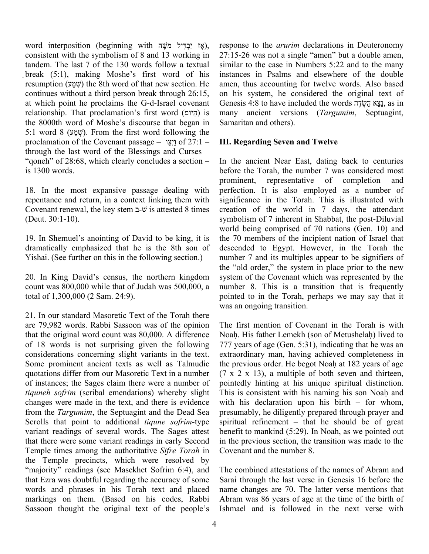, אָז יַבְדִּיל משֶׁה word interposition (beginning with יַבְדִּיל מ consistent with the symbolism of 8 and 13 working in tandem. The last 7 of the 130 words follow a textual break (5:1), making Moshe's first word of his resumption (שְׁמַע) the 8th word of that new section. He continues without a third person break through 26:15, at which point he proclaims the G-d-Israel covenant relationship. That proclamation's first word (היוֹם) is the 8000th word of Moshe's discourse that began in 5:1 word 8 (שָׁמַע). From the first word following the proclamation of the Covenant passage – וַצְיַו of 27:1 – through the last word of the Blessings and Curses – "qoneh" of 28:68, which clearly concludes a section is 1300 words.

18. In the most expansive passage dealing with repentance and return, in a context linking them with Covenant renewal, the key stem  $\exists \forall \vec{v}$  is attested 8 times (Deut. 30:1-10).

19. In Shemuel's anointing of David to be king, it is dramatically emphasized that he is the 8th son of Yishai. (See further on this in the following section.)

20. In King David's census, the northern kingdom count was 800,000 while that of Judah was 500,000, a total of 1,300,000 (2 Sam. 24:9).

21. In our standard Masoretic Text of the Torah there are 79,982 words. Rabbi Sassoon was of the opinion that the original word count was 80,000. A difference of 18 words is not surprising given the following considerations concerning slight variants in the text. Some prominent ancient texts as well as Talmudic quotations differ from our Masoretic Text in a number of instances; the Sages claim there were a number of *tiquneh sofrim* (scribal emendations) whereby slight changes were made in the text, and there is evidence from the *Targumim*, the Septuagint and the Dead Sea Scrolls that point to additional *tiqune sofrim*-type variant readings of several words. The Sages attest that there were some variant readings in early Second Temple times among the authoritative *Sifre Torah* in the Temple precincts, which were resolved by "majority" readings (see Masekhet Sofrim 6:4), and that Ezra was doubtful regarding the accuracy of some words and phrases in his Torah text and placed markings on them. (Based on his codes, Rabbi Sassoon thought the original text of the people's

response to the *arurim* declarations in Deuteronomy 27:15-26 was not a single "amen" but a double amen, similar to the case in Numbers 5:22 and to the many instances in Psalms and elsewhere of the double amen, thus accounting for twelve words. Also based on his system, he considered the original text of Genesis 4:8 to have included the words נצא השׂדָה, as in many ancient versions (*Targumim*, Septuagint, Samaritan and others).

#### **III. Regarding Seven and Twelve**

In the ancient Near East, dating back to centuries before the Torah, the number 7 was considered most prominent, representative of completion and perfection. It is also employed as a number of significance in the Torah. This is illustrated with creation of the world in 7 days, the attendant symbolism of 7 inherent in Shabbat, the post-Diluvial world being comprised of 70 nations (Gen. 10) and the 70 members of the incipient nation of Israel that descended to Egypt. However, in the Torah the number 7 and its multiples appear to be signifiers of the "old order," the system in place prior to the new system of the Covenant which was represented by the number 8. This is a transition that is frequently pointed to in the Torah, perhaps we may say that it was an ongoing transition.

The first mention of Covenant in the Torah is with Noah. His father Lemekh (son of Metushelah) lived to 777 years of age (Gen. 5:31), indicating that he was an extraordinary man, having achieved completeness in the previous order. He begot Noah at 182 years of age  $(7 \times 2 \times 13)$ , a multiple of both seven and thirteen, pointedly hinting at his unique spiritual distinction. This is consistent with his naming his son Noah and with his declaration upon his birth – for whom, presumably, he diligently prepared through prayer and spiritual refinement – that he should be of great benefit to mankind (5:29). In Noah, as we pointed out in the previous section, the transition was made to the Covenant and the number 8.

The combined attestations of the names of Abram and Sarai through the last verse in Genesis 16 before the name changes are 70. The latter verse mentions that Abram was 86 years of age at the time of the birth of Ishmael and is followed in the next verse with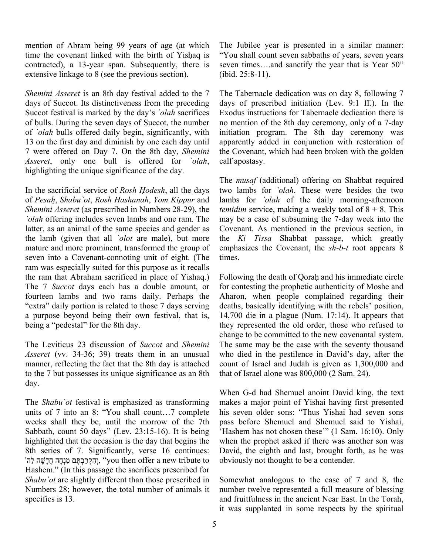mention of Abram being 99 years of age (at which time the covenant linked with the birth of Yishaq is contracted), a 13-year span. Subsequently, there is extensive linkage to 8 (see the previous section).

*Shemini Asseret* is an 8th day festival added to the 7 days of Succot. Its distinctiveness from the preceding Succot festival is marked by the day's *`olah* sacrifices of bulls. During the seven days of Succot, the number of *`olah* bulls offered daily begin, significantly, with 13 on the first day and diminish by one each day until 7 were offered on Day 7. On the 8th day, *Shemini Asseret*, only one bull is offered for *`olah*, highlighting the unique significance of the day.

In the sacrificial service of *Rosh Hodesh*, all the days of *Pesah*, *Shabu`ot*, *Rosh Hashanah*, *Yom Kippur* and *Shemini Asseret* (as prescribed in Numbers 28-29), the *`olah* offering includes seven lambs and one ram. The latter, as an animal of the same species and gender as the lamb (given that all *`olot* are male), but more mature and more prominent, transformed the group of seven into a Covenant-connoting unit of eight. (The ram was especially suited for this purpose as it recalls the ram that Abraham sacrificed in place of Yishaq.) The 7 *Succot* days each has a double amount, or fourteen lambs and two rams daily. Perhaps the "extra" daily portion is related to those 7 days serving a purpose beyond being their own festival, that is, being a "pedestal" for the 8th day.

The Leviticus 23 discussion of *Succot* and *Shemini Asseret* (vv. 34-36; 39) treats them in an unusual manner, reflecting the fact that the 8th day is attached to the 7 but possesses its unique significance as an 8th day.

The *Shabu`ot* festival is emphasized as transforming units of 7 into an 8: "You shall count…7 complete weeks shall they be, until the morrow of the 7th Sabbath, count 50 days" (Lev. 23:15-16). It is being highlighted that the occasion is the day that begins the 8th series of 7. Significantly, verse 16 continues: 'הִקְרַבְתֶּם מִנְחָה חֲדָשָׁה לַה "you then offer a new tribute to Hashem." (In this passage the sacrifices prescribed for *Shabu`ot* are slightly different than those prescribed in Numbers 28; however, the total number of animals it specifies is 13.

The Jubilee year is presented in a similar manner: "You shall count seven sabbaths of years, seven years seven times….and sanctify the year that is Year 50" (ibid. 25:8-11).

The Tabernacle dedication was on day 8, following 7 days of prescribed initiation (Lev. 9:1 ff.). In the Exodus instructions for Tabernacle dedication there is no mention of the 8th day ceremony, only of a 7-day initiation program. The 8th day ceremony was apparently added in conjunction with restoration of the Covenant, which had been broken with the golden calf apostasy.

The *musaf* (additional) offering on Shabbat required two lambs for *`olah*. These were besides the two lambs for *`olah* of the daily morning-afternoon *temidim* service, making a weekly total of  $8 + 8$ . This may be a case of subsuming the 7-day week into the Covenant. As mentioned in the previous section, in the *Ki Tissa* Shabbat passage, which greatly emphasizes the Covenant, the *sh-b-t* root appears 8 times.

Following the death of Qorah and his immediate circle for contesting the prophetic authenticity of Moshe and Aharon, when people complained regarding their deaths, basically identifying with the rebels' position, 14,700 die in a plague (Num. 17:14). It appears that they represented the old order, those who refused to change to be committed to the new covenantal system. The same may be the case with the seventy thousand who died in the pestilence in David's day, after the count of Israel and Judah is given as 1,300,000 and that of Israel alone was 800,000 (2 Sam. 24).

When G-d had Shemuel anoint David king, the text makes a major point of Yishai having first presented his seven older sons: "Thus Yishai had seven sons pass before Shemuel and Shemuel said to Yishai, 'Hashem has not chosen these'" (1 Sam. 16:10). Only when the prophet asked if there was another son was David, the eighth and last, brought forth, as he was obviously not thought to be a contender.

Somewhat analogous to the case of 7 and 8, the number twelve represented a full measure of blessing and fruitfulness in the ancient Near East. In the Torah, it was supplanted in some respects by the spiritual